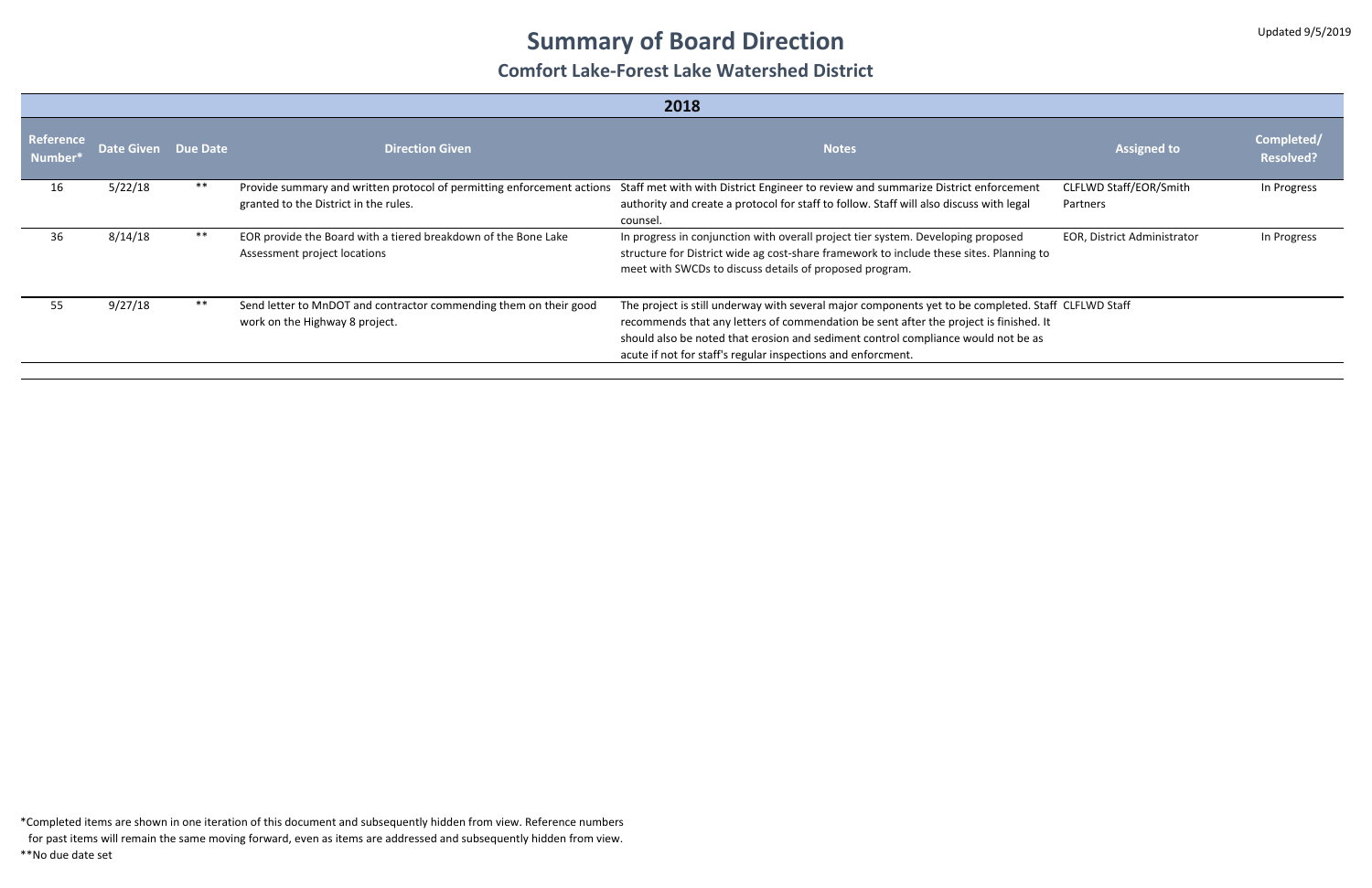# **Summary of Board Direction**

#### **Comfort Lake‐Forest Lake Watershed District**

| 2018                       |                     |       |                                                                                                                 |                                                                                                                                                                                                                                                                                                                                                   |                                    |                                |
|----------------------------|---------------------|-------|-----------------------------------------------------------------------------------------------------------------|---------------------------------------------------------------------------------------------------------------------------------------------------------------------------------------------------------------------------------------------------------------------------------------------------------------------------------------------------|------------------------------------|--------------------------------|
| Reference<br><b>Number</b> | Date Given Due Date |       | <b>Direction Given</b>                                                                                          | <b>Notes</b>                                                                                                                                                                                                                                                                                                                                      | <b>Assigned to</b>                 | Completed/<br><b>Resolved?</b> |
| 16                         | 5/22/18             | **    | Provide summary and written protocol of permitting enforcement actions<br>granted to the District in the rules. | Staff met with with District Engineer to review and summarize District enforcement<br>authority and create a protocol for staff to follow. Staff will also discuss with legal<br>counsel.                                                                                                                                                         | CLFLWD Staff/EOR/Smith<br>Partners | In Progress                    |
| 36                         | 8/14/18             | **    | EOR provide the Board with a tiered breakdown of the Bone Lake<br>Assessment project locations                  | In progress in conjunction with overall project tier system. Developing proposed<br>structure for District wide ag cost-share framework to include these sites. Planning to<br>meet with SWCDs to discuss details of proposed program.                                                                                                            | <b>EOR, District Administrator</b> | In Progress                    |
| 55                         | 9/27/18             | $***$ | Send letter to MnDOT and contractor commending them on their good<br>work on the Highway 8 project.             | The project is still underway with several major components yet to be completed. Staff CLFLWD Staff<br>recommends that any letters of commendation be sent after the project is finished. It<br>should also be noted that erosion and sediment control compliance would not be as<br>acute if not for staff's regular inspections and enforcment. |                                    |                                |

\*Completed items are shown in one iteration of this document and subsequently hidden from view. Reference numbers

for past items will remain the same moving forward, even as items are addressed and subsequently hidden from view.

\*\*No due date set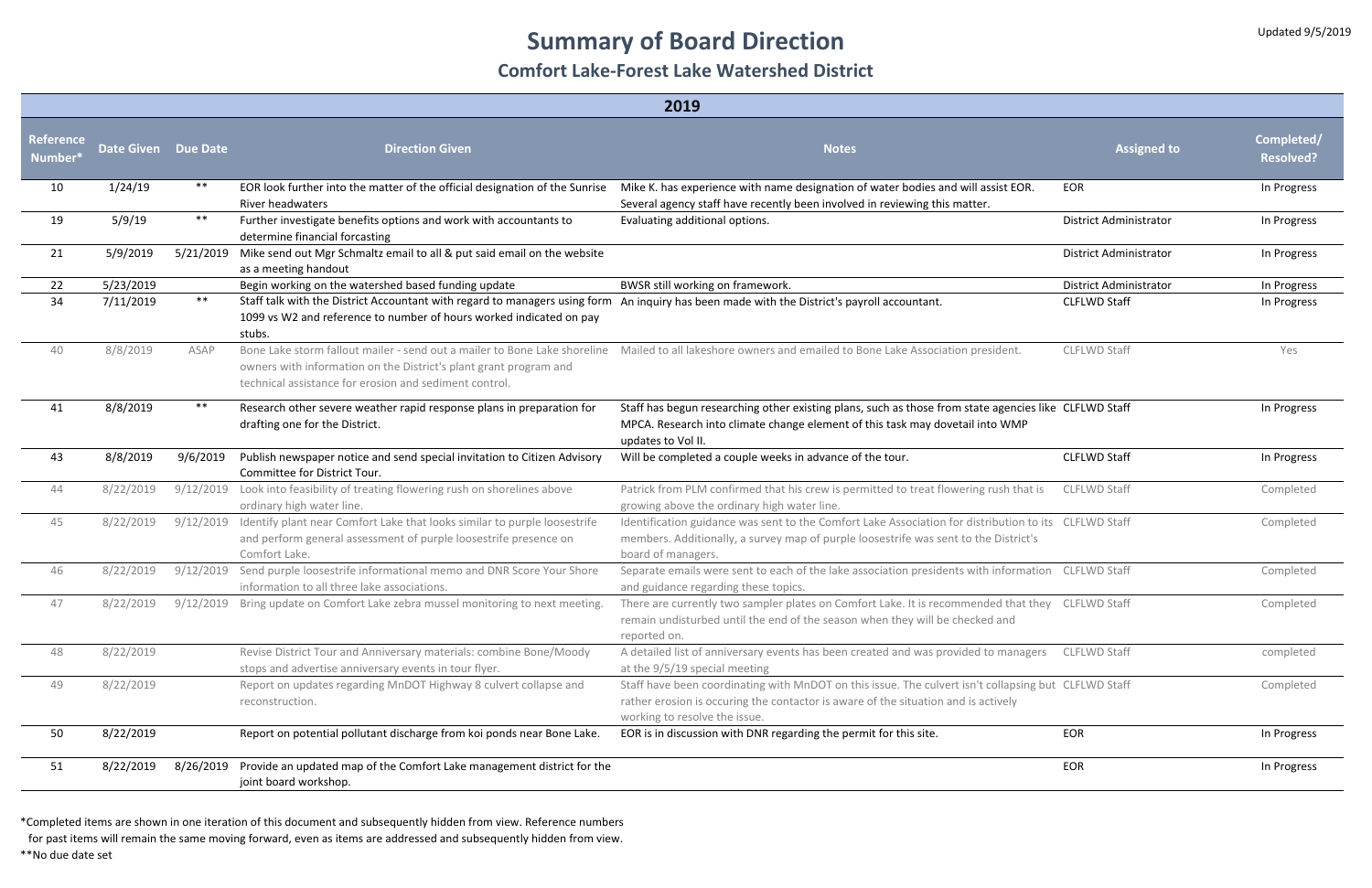# **Summary of Board Direction**

#### **Comfort Lake‐Forest Lake Watershed District**

| 2019                              |                     |           |                                                                                                                                                                                                                              |                                                                                                                                                                                                                             |                               |                                |
|-----------------------------------|---------------------|-----------|------------------------------------------------------------------------------------------------------------------------------------------------------------------------------------------------------------------------------|-----------------------------------------------------------------------------------------------------------------------------------------------------------------------------------------------------------------------------|-------------------------------|--------------------------------|
| <b>Reference</b><br>Number ${}^*$ | Date Given Due Date |           | <b>Direction Given</b>                                                                                                                                                                                                       | <b>Notes</b>                                                                                                                                                                                                                | <b>Assigned to</b>            | Completed/<br><b>Resolved?</b> |
| 10                                | 1/24/19             | $***$     | EOR look further into the matter of the official designation of the Sunrise<br>River headwaters                                                                                                                              | Mike K. has experience with name designation of water bodies and will assist EOR.<br>Several agency staff have recently been involved in reviewing this matter.                                                             | <b>EOR</b>                    | In Progress                    |
| 19                                | 5/9/19              | $***$     | Further investigate benefits options and work with accountants to<br>determine financial forcasting                                                                                                                          | Evaluating additional options.                                                                                                                                                                                              | <b>District Administrator</b> | In Progress                    |
| 21                                | 5/9/2019            | 5/21/2019 | Mike send out Mgr Schmaltz email to all & put said email on the website<br>as a meeting handout                                                                                                                              |                                                                                                                                                                                                                             | <b>District Administrator</b> | In Progress                    |
| 22                                | 5/23/2019           |           | Begin working on the watershed based funding update                                                                                                                                                                          | BWSR still working on framework.                                                                                                                                                                                            | <b>District Administrator</b> | In Progress                    |
| 34                                | 7/11/2019           | $***$     | Staff talk with the District Accountant with regard to managers using form An inquiry has been made with the District's payroll accountant.<br>1099 vs W2 and reference to number of hours worked indicated on pay<br>stubs. |                                                                                                                                                                                                                             | <b>CLFLWD Staff</b>           | In Progress                    |
| 40                                | 8/8/2019            | ASAP      | owners with information on the District's plant grant program and<br>technical assistance for erosion and sediment control.                                                                                                  | Bone Lake storm fallout mailer - send out a mailer to Bone Lake shoreline Mailed to all lakeshore owners and emailed to Bone Lake Association president.                                                                    | <b>CLFLWD Staff</b>           | Yes                            |
| 41                                | 8/8/2019            | $***$     | Research other severe weather rapid response plans in preparation for<br>drafting one for the District.                                                                                                                      | Staff has begun researching other existing plans, such as those from state agencies like CLFLWD Staff<br>MPCA. Research into climate change element of this task may dovetail into WMP<br>updates to Vol II.                |                               | In Progress                    |
| 43                                | 8/8/2019            | 9/6/2019  | Publish newspaper notice and send special invitation to Citizen Advisory<br>Committee for District Tour.                                                                                                                     | Will be completed a couple weeks in advance of the tour.                                                                                                                                                                    | <b>CLFLWD Staff</b>           | In Progress                    |
| 44                                | 8/22/2019           | 9/12/2019 | Look into feasibility of treating flowering rush on shorelines above<br>ordinary high water line.                                                                                                                            | Patrick from PLM confirmed that his crew is permitted to treat flowering rush that is<br>growing above the ordinary high water line.                                                                                        | <b>CLFLWD Staff</b>           | Completed                      |
| 45                                | 8/22/2019           | 9/12/2019 | Identify plant near Comfort Lake that looks similar to purple loosestrife<br>and perform general assessment of purple loosestrife presence on<br>Comfort Lake.                                                               | Identification guidance was sent to the Comfort Lake Association for distribution to its  CLFLWD Staff<br>members. Additionally, a survey map of purple loosestrife was sent to the District's<br>board of managers.        |                               | Completed                      |
| 46                                | 8/22/2019           | 9/12/2019 | Send purple loosestrife informational memo and DNR Score Your Shore<br>information to all three lake associations.                                                                                                           | Separate emails were sent to each of the lake association presidents with information CLFLWD Staff<br>and guidance regarding these topics.                                                                                  |                               | Completed                      |
| 47                                | 8/22/2019           |           | 9/12/2019 Bring update on Comfort Lake zebra mussel monitoring to next meeting.                                                                                                                                              | There are currently two sampler plates on Comfort Lake. It is recommended that they CLFLWD Staff<br>remain undisturbed until the end of the season when they will be checked and<br>reported on.                            |                               | Completed                      |
| 48                                | 8/22/2019           |           | Revise District Tour and Anniversary materials: combine Bone/Moody<br>stops and advertise anniversary events in tour flyer.                                                                                                  | A detailed list of anniversary events has been created and was provided to managers<br>at the 9/5/19 special meeting                                                                                                        | <b>CLFLWD Staff</b>           | completed                      |
| 49                                | 8/22/2019           |           | Report on updates regarding MnDOT Highway 8 culvert collapse and<br>reconstruction.                                                                                                                                          | Staff have been coordinating with MnDOT on this issue. The culvert isn't collapsing but CLFLWD Staff<br>rather erosion is occuring the contactor is aware of the situation and is actively<br>working to resolve the issue. |                               | Completed                      |
| 50                                | 8/22/2019           |           | Report on potential pollutant discharge from koi ponds near Bone Lake.                                                                                                                                                       | EOR is in discussion with DNR regarding the permit for this site.                                                                                                                                                           | EOR                           | In Progress                    |
| 51                                | 8/22/2019           | 8/26/2019 | Provide an updated map of the Comfort Lake management district for the<br>joint board workshop.                                                                                                                              |                                                                                                                                                                                                                             | EOR                           | In Progress                    |

\*Completed items are shown in one iteration of this document and subsequently hidden from view. Reference numbers

for past items will remain the same moving forward, even as items are addressed and subsequently hidden from view.

\*\*No due date set